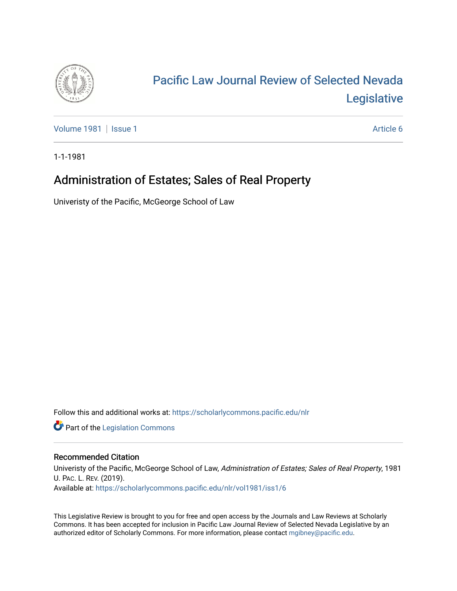

## [Pacific Law Journal Review of Selected Nevada](https://scholarlycommons.pacific.edu/nlr)  [Legislative](https://scholarlycommons.pacific.edu/nlr)

[Volume 1981](https://scholarlycommons.pacific.edu/nlr/vol1981) | [Issue 1](https://scholarlycommons.pacific.edu/nlr/vol1981/iss1) Article 6

1-1-1981

## Administration of Estates; Sales of Real Property

Univeristy of the Pacific, McGeorge School of Law

Follow this and additional works at: [https://scholarlycommons.pacific.edu/nlr](https://scholarlycommons.pacific.edu/nlr?utm_source=scholarlycommons.pacific.edu%2Fnlr%2Fvol1981%2Fiss1%2F6&utm_medium=PDF&utm_campaign=PDFCoverPages) 

**Part of the [Legislation Commons](http://network.bepress.com/hgg/discipline/859?utm_source=scholarlycommons.pacific.edu%2Fnlr%2Fvol1981%2Fiss1%2F6&utm_medium=PDF&utm_campaign=PDFCoverPages)** 

## Recommended Citation

Univeristy of the Pacific, McGeorge School of Law, Administration of Estates; Sales of Real Property, 1981 U. PAC. L. REV. (2019). Available at: [https://scholarlycommons.pacific.edu/nlr/vol1981/iss1/6](https://scholarlycommons.pacific.edu/nlr/vol1981/iss1/6?utm_source=scholarlycommons.pacific.edu%2Fnlr%2Fvol1981%2Fiss1%2F6&utm_medium=PDF&utm_campaign=PDFCoverPages) 

This Legislative Review is brought to you for free and open access by the Journals and Law Reviews at Scholarly Commons. It has been accepted for inclusion in Pacific Law Journal Review of Selected Nevada Legislative by an authorized editor of Scholarly Commons. For more information, please contact [mgibney@pacific.edu](mailto:mgibney@pacific.edu).